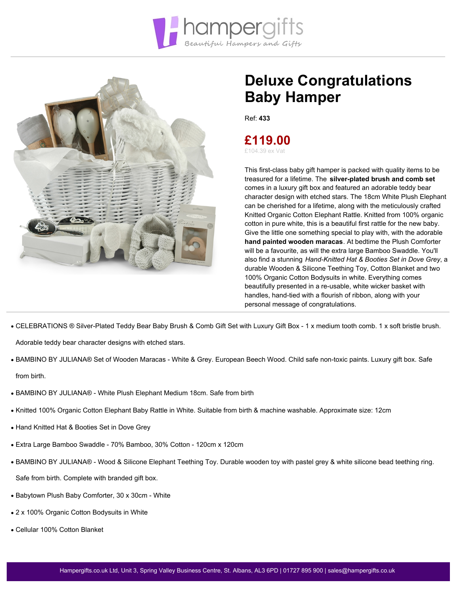



## **Deluxe Congratulations Baby Hamper**

Ref: **433**

**£119.00** £104.39 ex Vat

This first-class baby gift hamper is packed with quality items to be treasured for a lifetime. The **silver-plated brush and comb set** comes in a luxury gift box and featured an adorable teddy bear character design with etched stars. The 18cm White Plush Elephant can be cherished for a lifetime, along with the meticulously crafted Knitted Organic Cotton Elephant Rattle. Knitted from 100% organic cotton in pure white, this is a beautiful first rattle for the new baby. Give the little one something special to play with, with the adorable **hand painted wooden maracas**. At bedtime the Plush Comforter will be a favourite, as will the extra large Bamboo Swaddle. You'll also find a stunning *Hand-Knitted Hat & Booties Set in Dove Grey*, a durable Wooden & Silicone Teething Toy, Cotton Blanket and two 100% Organic Cotton Bodysuits in white. Everything comes beautifully presented in a re-usable, white wicker basket with handles, hand-tied with a flourish of ribbon, along with your personal message of congratulations.

CELEBRATIONS ® Silver-Plated Teddy Bear Baby Brush & Comb Gift Set with Luxury Gift Box - 1 x medium tooth comb. 1 x soft bristle brush.

Adorable teddy bear character designs with etched stars.

- BAMBINO BY JULIANA® Set of Wooden Maracas White & Grey. European Beech Wood. Child safe non-toxic paints. Luxury gift box. Safe from birth.
- BAMBINO BY JULIANA® White Plush Elephant Medium 18cm. Safe from birth
- Knitted 100% Organic Cotton Elephant Baby Rattle in White. Suitable from birth & machine washable. Approximate size: 12cm
- Hand Knitted Hat & Booties Set in Dove Grey
- Extra Large Bamboo Swaddle 70% Bamboo, 30% Cotton 120cm x 120cm
- BAMBINO BY JULIANA® Wood & Silicone Elephant Teething Toy. Durable wooden toy with pastel grey & white silicone bead teething ring.

Safe from birth. Complete with branded gift box.

- Babytown Plush Baby Comforter, 30 x 30cm White
- 2 x 100% Organic Cotton Bodysuits in White
- Cellular 100% Cotton Blanket